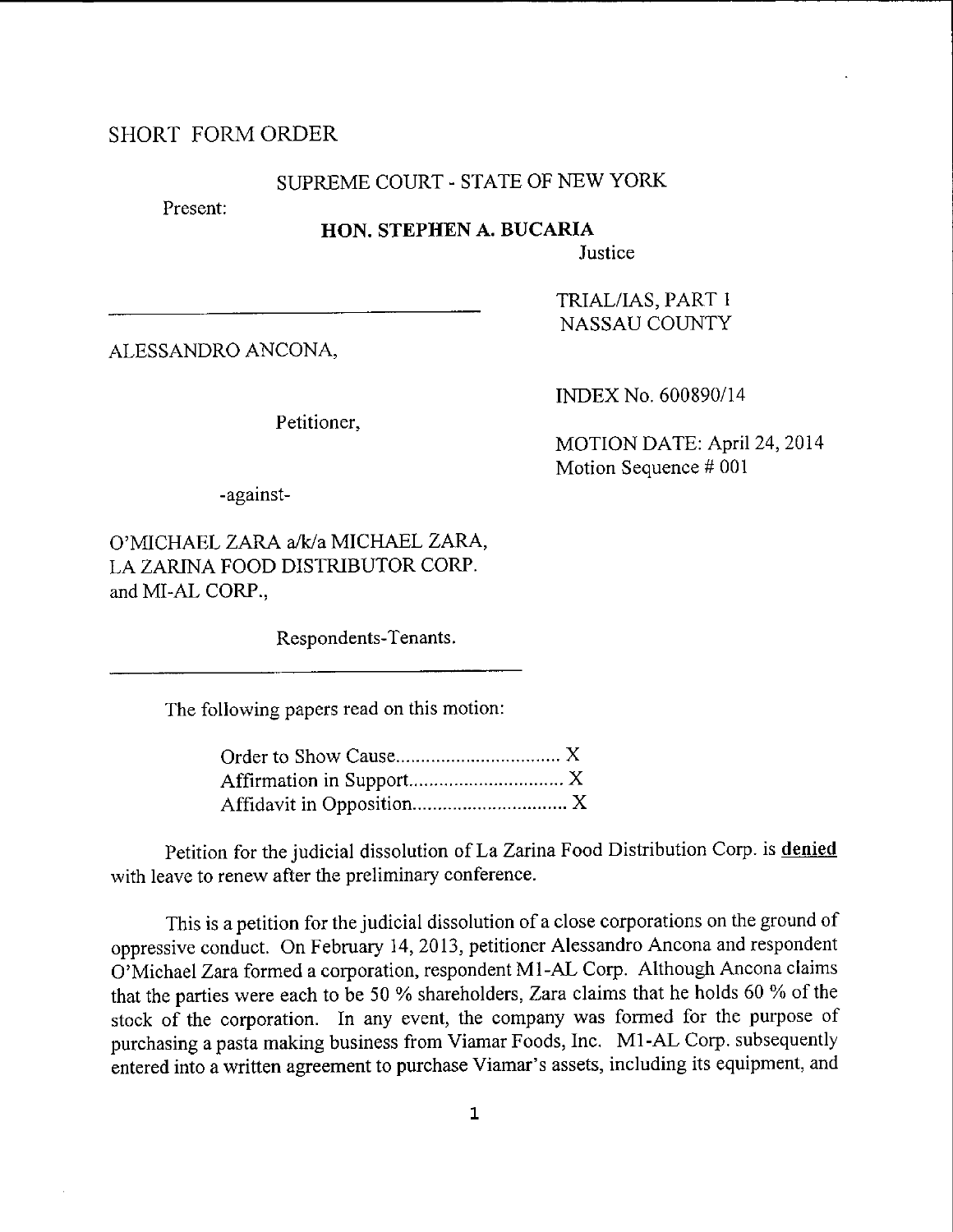## SHORT FORMORDER

# SUPREME COURT - STATE OF NEW YORK

Present:

### HON. STEPHEN A. BUCARIA

Justice

ALESSANDRO ANCONA.

Petitioner,

INDEX No. 600890/14

TRIAL/IAS, PART 1 NASSAU COUNTY

MOTION DATE: April 24,2014 Motion Sequence # 001

-against-

O'MICHAEL ZARA a/k/a MICHAEL ZARA, LA ZARINA FOOD DISTRIBUTOR CORP. and MI-AL CORP.,

Respondents-Tenants.

The following papers read on this motion:

Petition for the judicial dissolution of La Zarina Food Distribution Corp. is denied with leave to renew after the preliminary conference.

This is a petition for the judicial dissolution of a close corporations on the ground of oppressive conduct. on February 14,2013, petitioner Alessandro Ancona and respondent O'Michael Zara formed a corporation, respondent M1-AL Corp. Although Ancona claims that the parties were each to be 50 % shareholders, Zara claims that he holds 60 % of the stock of the corporation. In any event, the company was formed for the purpose of purchasing a pasta making business from Viamar Foods, Inc. Ml-AL Corp. subsequently entered into a written agreement to purchase Viamar's assets, including its equipment, and